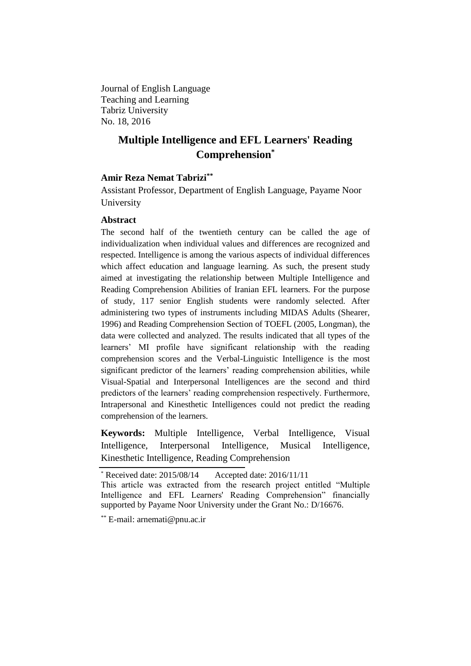Journal of English Language Teaching and Learning Tabriz University No. 18, 2016

# **Multiple Intelligence and EFL Learners' Reading Comprehension\***

# **Amir Reza Nemat Tabrizi\*\***

Assistant Professor, Department of English Language, Payame Noor University

# **Abstract**

The second half of the twentieth century can be called the age of individualization when individual values and differences are recognized and respected. Intelligence is among the various aspects of individual differences which affect education and language learning. As such, the present study aimed at investigating the relationship between Multiple Intelligence and Reading Comprehension Abilities of Iranian EFL learners. For the purpose of study, 117 senior English students were randomly selected. After administering two types of instruments including MIDAS Adults (Shearer, 1996) and Reading Comprehension Section of TOEFL (2005, Longman), the data were collected and analyzed. The results indicated that all types of the learners' MI profile have significant relationship with the reading comprehension scores and the Verbal-Linguistic Intelligence is the most significant predictor of the learners' reading comprehension abilities, while Visual-Spatial and Interpersonal Intelligences are the second and third predictors of the learners' reading comprehension respectively. Furthermore, Intrapersonal and Kinesthetic Intelligences could not predict the reading comprehension of the learners.

**Keywords:** Multiple Intelligence, Verbal Intelligence, Visual Intelligence, Interpersonal Intelligence, Musical Intelligence, Kinesthetic Intelligence, Reading Comprehension

Received date: 2015/08/14 Accepted date: 2016/11/11

This article was extracted from the research project entitled "Multiple Intelligence and EFL Learners' Reading Comprehension" financially supported by Payame Noor University under the Grant No.: D/16676.

<sup>\*\*</sup> E-mail: arnemati@pnu.ac.ir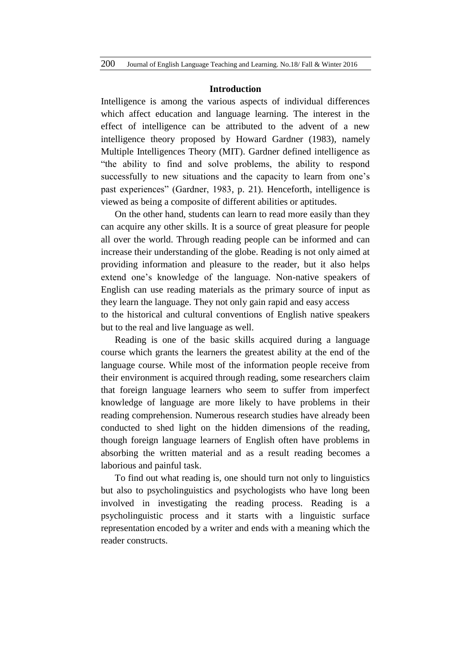#### **Introduction**

Intelligence is among the various aspects of individual differences which affect education and language learning. The interest in the effect of intelligence can be attributed to the advent of a new intelligence theory proposed by Howard Gardner (1983), namely Multiple Intelligences Theory (MIT). Gardner defined intelligence as "the ability to find and solve problems, the ability to respond successfully to new situations and the capacity to learn from one's past experiences" (Gardner, 1983, p. 21). Henceforth, intelligence is viewed as being a composite of different abilities or aptitudes.

On the other hand, students can learn to read more easily than they can acquire any other skills. It is a source of great pleasure for people all over the world. Through reading people can be informed and can increase their understanding of the globe. Reading is not only aimed at providing information and pleasure to the reader, but it also helps extend one's knowledge of the language. Non-native speakers of English can use reading materials as the primary source of input as they learn the language. They not only gain rapid and easy access to the historical and cultural conventions of English native speakers

but to the real and live language as well.

Reading is one of the basic skills acquired during a language course which grants the learners the greatest ability at the end of the language course. While most of the information people receive from their environment is acquired through reading, some researchers claim that foreign language learners who seem to suffer from imperfect knowledge of language are more likely to have problems in their reading comprehension. Numerous research studies have already been conducted to shed light on the hidden dimensions of the reading, though foreign language learners of English often have problems in absorbing the written material and as a result reading becomes a laborious and painful task.

To find out what reading is, one should turn not only to linguistics but also to psycholinguistics and psychologists who have long been involved in investigating the reading process. Reading is a psycholinguistic process and it starts with a linguistic surface representation encoded by a writer and ends with a meaning which the reader constructs.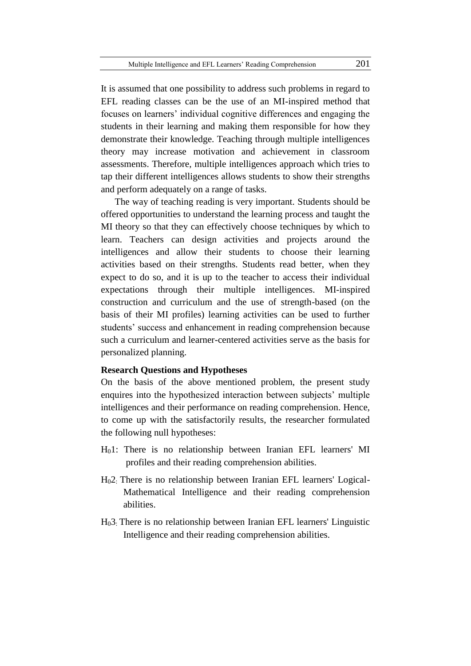It is assumed that one possibility to address such problems in regard to EFL reading classes can be the use of an MI-inspired method that focuses on learners' individual cognitive differences and engaging the students in their learning and making them responsible for how they demonstrate their knowledge. Teaching through multiple intelligences theory may increase motivation and achievement in classroom assessments. Therefore, multiple intelligences approach which tries to tap their different intelligences allows students to show their strengths and perform adequately on a range of tasks.

The way of teaching reading is very important. Students should be offered opportunities to understand the learning process and taught the MI theory so that they can effectively choose techniques by which to learn. Teachers can design activities and projects around the intelligences and allow their students to choose their learning activities based on their strengths. Students read better, when they expect to do so, and it is up to the teacher to access their individual expectations through their multiple intelligences. MI-inspired construction and curriculum and the use of strength-based (on the basis of their MI profiles) learning activities can be used to further students' success and enhancement in reading comprehension because such a curriculum and learner-centered activities serve as the basis for personalized planning.

## **Research Questions and Hypotheses**

On the basis of the above mentioned problem, the present study enquires into the hypothesized interaction between subjects' multiple intelligences and their performance on reading comprehension. Hence, to come up with the satisfactorily results, the researcher formulated the following null hypotheses:

- H01: There is no relationship between Iranian EFL learners' MI profiles and their reading comprehension abilities.
- H02: There is no relationship between Iranian EFL learners' Logical-Mathematical Intelligence and their reading comprehension abilities.
- H03: There is no relationship between Iranian EFL learners' Linguistic Intelligence and their reading comprehension abilities.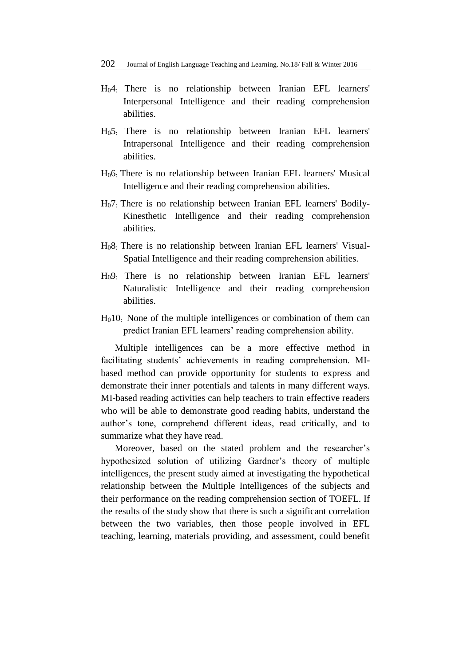- H04: There is no relationship between Iranian EFL learners' Interpersonal Intelligence and their reading comprehension abilities.
- H05: There is no relationship between Iranian EFL learners' Intrapersonal Intelligence and their reading comprehension abilities.
- H06: There is no relationship between Iranian EFL learners' Musical Intelligence and their reading comprehension abilities.
- H07: There is no relationship between Iranian EFL learners' Bodily-Kinesthetic Intelligence and their reading comprehension abilities.
- H08: There is no relationship between Iranian EFL learners' Visual-Spatial Intelligence and their reading comprehension abilities.
- H09: There is no relationship between Iranian EFL learners' Naturalistic Intelligence and their reading comprehension abilities.
- H010: None of the multiple intelligences or combination of them can predict Iranian EFL learners' reading comprehension ability.

Multiple intelligences can be a more effective method in facilitating students' achievements in reading comprehension. MIbased method can provide opportunity for students to express and demonstrate their inner potentials and talents in many different ways. MI-based reading activities can help teachers to train effective readers who will be able to demonstrate good reading habits, understand the author's tone, comprehend different ideas, read critically, and to summarize what they have read.

Moreover, based on the stated problem and the researcher's hypothesized solution of utilizing Gardner's theory of multiple intelligences, the present study aimed at investigating the hypothetical relationship between the Multiple Intelligences of the subjects and their performance on the reading comprehension section of TOEFL. If the results of the study show that there is such a significant correlation between the two variables, then those people involved in EFL teaching, learning, materials providing, and assessment, could benefit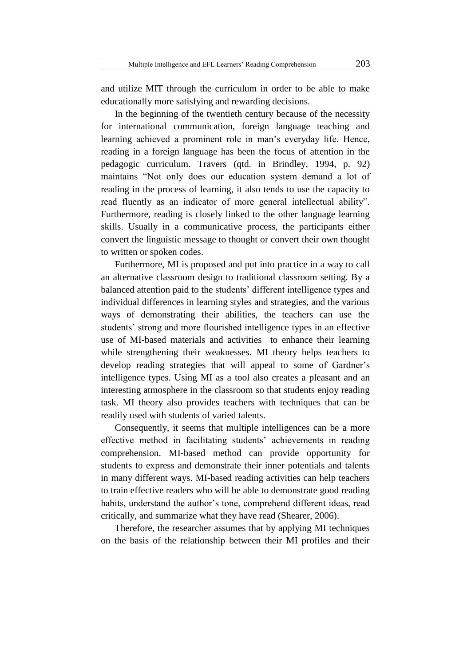and utilize MIT through the curriculum in order to be able to make educationally more satisfying and rewarding decisions.

In the beginning of the twentieth century because of the necessity for international communication, foreign language teaching and learning achieved a prominent role in man's everyday life. Hence, reading in a foreign language has been the focus of attention in the pedagogic curriculum. Travers (qtd. in Brindley, 1994, p. 92) maintains "Not only does our education system demand a lot of reading in the process of learning, it also tends to use the capacity to read fluently as an indicator of more general intellectual ability". Furthermore, reading is closely linked to the other language learning skills. Usually in a communicative process, the participants either convert the linguistic message to thought or convert their own thought to written or spoken codes.

Furthermore, MI is proposed and put into practice in a way to call an alternative classroom design to traditional classroom setting. By a balanced attention paid to the students' different intelligence types and individual differences in learning styles and strategies, and the various ways of demonstrating their abilities, the teachers can use the students' strong and more flourished intelligence types in an effective use of MI-based materials and activities to enhance their learning while strengthening their weaknesses. MI theory helps teachers to develop reading strategies that will appeal to some of Gardner's intelligence types. Using MI as a tool also creates a pleasant and an interesting atmosphere in the classroom so that students enjoy reading task. MI theory also provides teachers with techniques that can be readily used with students of varied talents.

Consequently, it seems that multiple intelligences can be a more effective method in facilitating students' achievements in reading comprehension. MI-based method can provide opportunity for students to express and demonstrate their inner potentials and talents in many different ways. MI-based reading activities can help teachers to train effective readers who will be able to demonstrate good reading habits, understand the author's tone, comprehend different ideas, read critically, and summarize what they have read (Shearer, 2006).

Therefore, the researcher assumes that by applying MI techniques on the basis of the relationship between their MI profiles and their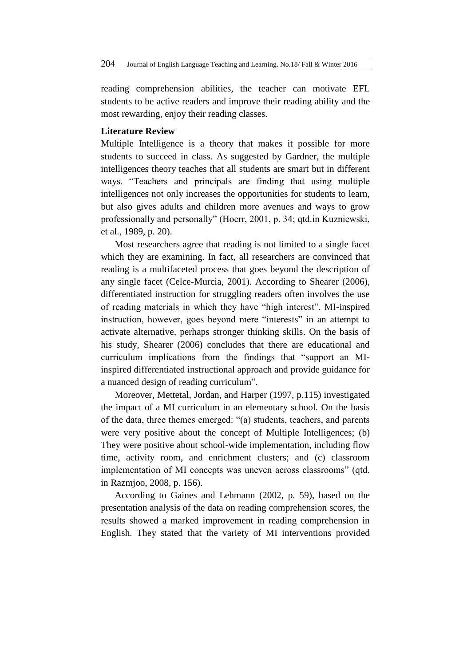reading comprehension abilities, the teacher can motivate EFL students to be active readers and improve their reading ability and the most rewarding, enjoy their reading classes.

## **Literature Review**

Multiple Intelligence is a theory that makes it possible for more students to succeed in class. As suggested by Gardner, the multiple intelligences theory teaches that all students are smart but in different ways. "Teachers and principals are finding that using multiple intelligences not only increases the opportunities for students to learn, but also gives adults and children more avenues and ways to grow professionally and personally" (Hoerr, 2001, p. 34; qtd.in Kuzniewski, et al., 1989, p. 20).

Most researchers agree that reading is not limited to a single facet which they are examining. In fact, all researchers are convinced that reading is a multifaceted process that goes beyond the description of any single facet (Celce-Murcia, 2001). According to Shearer (2006), differentiated instruction for struggling readers often involves the use of reading materials in which they have "high interest". MI-inspired instruction, however, goes beyond mere "interests" in an attempt to activate alternative, perhaps stronger thinking skills. On the basis of his study, Shearer (2006) concludes that there are educational and curriculum implications from the findings that "support an MIinspired differentiated instructional approach and provide guidance for a nuanced design of reading curriculum".

Moreover, Mettetal, Jordan, and Harper (1997, p.115) investigated the impact of a MI curriculum in an elementary school. On the basis of the data, three themes emerged: "(a) students, teachers, and parents were very positive about the concept of Multiple Intelligences; (b) They were positive about school-wide implementation, including flow time, activity room, and enrichment clusters; and (c) classroom implementation of MI concepts was uneven across classrooms" (qtd. in Razmjoo, 2008, p. 156).

According to Gaines and Lehmann (2002, p. 59), based on the presentation analysis of the data on reading comprehension scores, the results showed a marked improvement in reading comprehension in English. They stated that the variety of MI interventions provided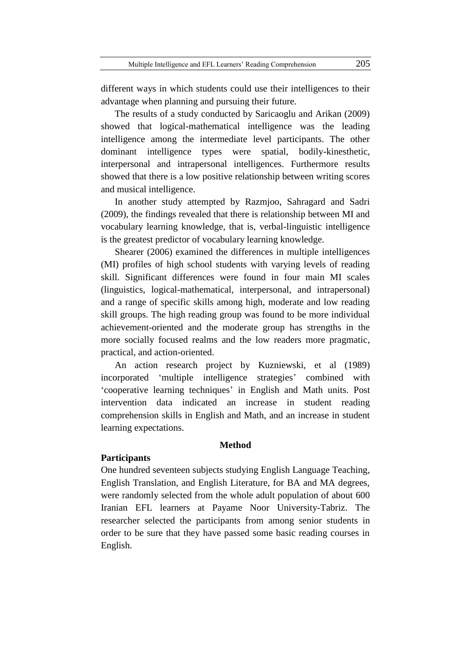advantage when planning and pursuing their future.

different ways in which students could use their intelligences to their

The results of a study conducted by Saricaoglu and Arikan (2009) showed that logical-mathematical intelligence was the leading intelligence among the intermediate level participants. The other dominant intelligence types were spatial, bodily-kinesthetic, interpersonal and intrapersonal intelligences. Furthermore results showed that there is a low positive relationship between writing scores and musical intelligence.

In another study attempted by Razmjoo, Sahragard and Sadri (2009), the findings revealed that there is relationship between MI and vocabulary learning knowledge, that is, verbal-linguistic intelligence is the greatest predictor of vocabulary learning knowledge.

Shearer (2006) examined the differences in multiple intelligences (MI) profiles of high school students with varying levels of reading skill. Significant differences were found in four main MI scales (linguistics, logical-mathematical, interpersonal, and intrapersonal) and a range of specific skills among high, moderate and low reading skill groups. The high reading group was found to be more individual achievement-oriented and the moderate group has strengths in the more socially focused realms and the low readers more pragmatic, practical, and action-oriented.

An action research project by Kuzniewski, et al (1989) incorporated 'multiple intelligence strategies' combined with 'cooperative learning techniques' in English and Math units. Post intervention data indicated an increase in student reading comprehension skills in English and Math, and an increase in student learning expectations.

#### **Method**

## **Participants**

One hundred seventeen subjects studying English Language Teaching, English Translation, and English Literature, for BA and MA degrees, were randomly selected from the whole adult population of about 600 Iranian EFL learners at Payame Noor University-Tabriz. The researcher selected the participants from among senior students in order to be sure that they have passed some basic reading courses in English.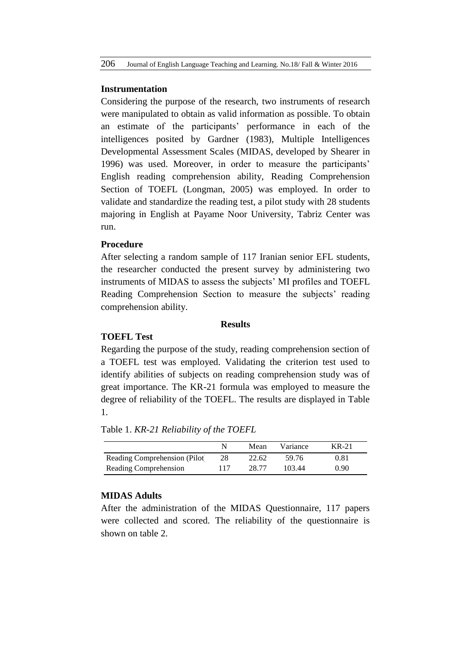#### **Instrumentation**

Considering the purpose of the research, two instruments of research were manipulated to obtain as valid information as possible. To obtain an estimate of the participants' performance in each of the intelligences posited by Gardner (1983), Multiple Intelligences Developmental Assessment Scales (MIDAS, developed by Shearer in 1996) was used. Moreover, in order to measure the participants' English reading comprehension ability, Reading Comprehension Section of TOEFL (Longman, 2005) was employed. In order to validate and standardize the reading test, a pilot study with 28 students majoring in English at Payame Noor University, Tabriz Center was run.

## **Procedure**

After selecting a random sample of 117 Iranian senior EFL students, the researcher conducted the present survey by administering two instruments of MIDAS to assess the subjects' MI profiles and TOEFL Reading Comprehension Section to measure the subjects' reading comprehension ability.

#### **Results**

## **TOEFL Test**

Regarding the purpose of the study, reading comprehension section of a TOEFL test was employed. Validating the criterion test used to identify abilities of subjects on reading comprehension study was of great importance. The KR-21 formula was employed to measure the degree of reliability of the TOEFL. The results are displayed in Table 1.

|  |  | Table 1. KR-21 Reliability of the TOEFL |  |  |
|--|--|-----------------------------------------|--|--|
|--|--|-----------------------------------------|--|--|

|                               |     | Mean  | Variance | KR-21 |
|-------------------------------|-----|-------|----------|-------|
| Reading Comprehension (Pilot) | 28  | 22.62 | 59.76    | 0.81  |
| Reading Comprehension         | 117 | 28.77 | 103.44   | 0.90  |

## **MIDAS Adults**

After the administration of the MIDAS Questionnaire, 117 papers were collected and scored. The reliability of the questionnaire is shown on table 2.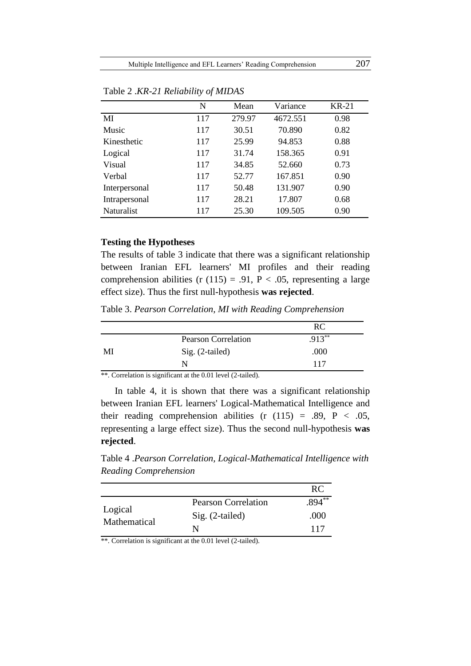|                   | N   | Mean   | Variance | <b>KR-21</b> |
|-------------------|-----|--------|----------|--------------|
| MI                | 117 | 279.97 | 4672.551 | 0.98         |
| Music             | 117 | 30.51  | 70.890   | 0.82         |
| Kinesthetic       | 117 | 25.99  | 94.853   | 0.88         |
| Logical           | 117 | 31.74  | 158.365  | 0.91         |
| Visual            | 117 | 34.85  | 52.660   | 0.73         |
| Verbal            | 117 | 52.77  | 167.851  | 0.90         |
| Interpersonal     | 117 | 50.48  | 131.907  | 0.90         |
| Intrapersonal     | 117 | 28.21  | 17.807   | 0.68         |
| <b>Naturalist</b> | 117 | 25.30  | 109.505  | 0.90         |

Table 2 .*KR-21 Reliability of MIDAS*

## **Testing the Hypotheses**

The results of table 3 indicate that there was a significant relationship between Iranian EFL learners' MI profiles and their reading comprehension abilities (r  $(115) = .91$ , P < .05, representing a large effect size). Thus the first null-hypothesis **was rejected**.

Table 3. *Pearson Correlation, MI with Reading Comprehension*

|    |                            | RC        |
|----|----------------------------|-----------|
|    | <b>Pearson Correlation</b> | $.913***$ |
| MI | Sig. (2-tailed)            | .000      |
|    | N                          | 117       |

\*\*. Correlation is significant at the 0.01 level (2-tailed).

In table 4, it is shown that there was a significant relationship between Iranian EFL learners' Logical-Mathematical Intelligence and their reading comprehension abilities (r  $(115) = .89$ , P < .05, representing a large effect size). Thus the second null-hypothesis **was rejected**.

Table 4 .*Pearson Correlation, Logical-Mathematical Intelligence with Reading Comprehension*

|                         |                            | <b>RC</b> |
|-------------------------|----------------------------|-----------|
|                         | <b>Pearson Correlation</b> | $.894***$ |
| Logical<br>Mathematical | $Sig. (2-tailed)$          | .000      |
|                         | N                          | 117       |

\*\*. Correlation is significant at the 0.01 level (2-tailed).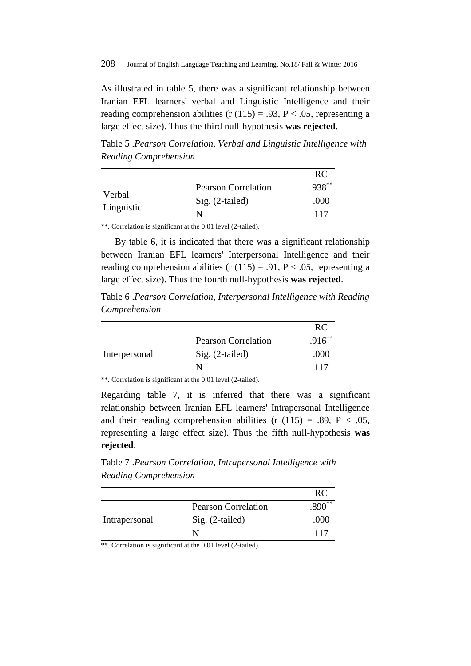As illustrated in table 5, there was a significant relationship between Iranian EFL learners' verbal and Linguistic Intelligence and their reading comprehension abilities (r  $(115) = .93$ , P < .05, representing a large effect size). Thus the third null-hypothesis **was rejected**.

Table 5 .*Pearson Correlation, Verbal and Linguistic Intelligence with Reading Comprehension*

|                      |                            | <b>RC</b> |
|----------------------|----------------------------|-----------|
|                      | <b>Pearson Correlation</b> | $.938***$ |
| Verbal<br>Linguistic | $Sig. (2-tailed)$          | .000      |
|                      | N                          | 117       |

\*\*. Correlation is significant at the 0.01 level (2-tailed).

By table 6, it is indicated that there was a significant relationship between Iranian EFL learners' Interpersonal Intelligence and their reading comprehension abilities (r  $(115) = .91$ , P < .05, representing a large effect size). Thus the fourth null-hypothesis **was rejected**.

Table 6 .*Pearson Correlation, Interpersonal Intelligence with Reading Comprehension*

|               |                            | <b>RC</b> |
|---------------|----------------------------|-----------|
|               | <b>Pearson Correlation</b> | $.916**$  |
| Interpersonal | $Sig. (2-tailed)$          | .000      |
|               |                            | 117       |

\*\*. Correlation is significant at the 0.01 level (2-tailed).

Regarding table 7, it is inferred that there was a significant relationship between Iranian EFL learners' Intrapersonal Intelligence and their reading comprehension abilities (r  $(115) = .89$ , P < .05, representing a large effect size). Thus the fifth null-hypothesis **was rejected**.

Table 7 .*Pearson Correlation, Intrapersonal Intelligence with Reading Comprehension*

|               |                            | RC       |
|---------------|----------------------------|----------|
|               | <b>Pearson Correlation</b> | $.890**$ |
| Intrapersonal | $Sig. (2-tailed)$          | .000     |
|               | N                          | 117      |

\*\*. Correlation is significant at the 0.01 level (2-tailed).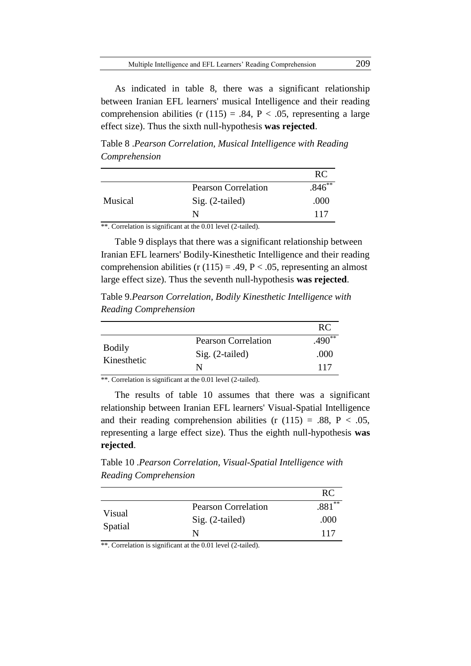As indicated in table 8, there was a significant relationship between Iranian EFL learners' musical Intelligence and their reading comprehension abilities (r  $(115) = .84$ , P < .05, representing a large effect size). Thus the sixth null-hypothesis **was rejected**.

Table 8 .*Pearson Correlation, Musical Intelligence with Reading Comprehension*

|         |                            | RC       |
|---------|----------------------------|----------|
|         | <b>Pearson Correlation</b> | $.846**$ |
| Musical | $Sig. (2-tailed)$          | .000     |
|         | N                          | 117      |
| .<br>.  | .                          |          |

\*\*. Correlation is significant at the 0.01 level (2-tailed).

Table 9 displays that there was a significant relationship between Iranian EFL learners' Bodily-Kinesthetic Intelligence and their reading comprehension abilities (r  $(115) = .49$ , P < .05, representing an almost large effect size). Thus the seventh null-hypothesis **was rejected**.

Table 9.*Pearson Correlation, Bodily Kinesthetic Intelligence with Reading Comprehension*

|                              |                            | RC.      |
|------------------------------|----------------------------|----------|
|                              | <b>Pearson Correlation</b> | $.490**$ |
| <b>Bodily</b><br>Kinesthetic | $Sig. (2-tailed)$          | .000     |
|                              | N                          | 117      |

\*\*. Correlation is significant at the 0.01 level (2-tailed).

The results of table 10 assumes that there was a significant relationship between Iranian EFL learners' Visual-Spatial Intelligence and their reading comprehension abilities (r  $(115) = .88$ , P < .05, representing a large effect size). Thus the eighth null-hypothesis **was rejected**.

Table 10 .*Pearson Correlation, Visual-Spatial Intelligence with Reading Comprehension*

|                   |                            | RC.      |
|-------------------|----------------------------|----------|
|                   | <b>Pearson Correlation</b> | $.881**$ |
| Visual<br>Spatial | $Sig. (2-tailed)$          | .000     |
|                   | N                          | 117      |

\*\*. Correlation is significant at the 0.01 level (2-tailed).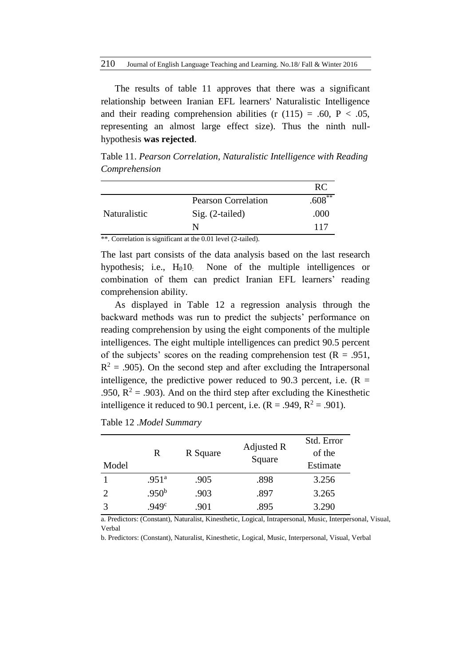The results of table 11 approves that there was a significant relationship between Iranian EFL learners' Naturalistic Intelligence and their reading comprehension abilities (r  $(115) = .60$ , P < .05, representing an almost large effect size). Thus the ninth nullhypothesis **was rejected**.

Table 11. *Pearson Correlation, Naturalistic Intelligence with Reading Comprehension*

|              |                            | RC        |
|--------------|----------------------------|-----------|
|              | <b>Pearson Correlation</b> | $.608***$ |
| Naturalistic | Sig. (2-tailed)            | .000      |
|              | N                          | 117       |

\*\*. Correlation is significant at the 0.01 level (2-tailed).

The last part consists of the data analysis based on the last research hypothesis; i.e.,  $H<sub>0</sub>10$ . None of the multiple intelligences or combination of them can predict Iranian EFL learners' reading comprehension ability.

As displayed in Table 12 a regression analysis through the backward methods was run to predict the subjects' performance on reading comprehension by using the eight components of the multiple intelligences. The eight multiple intelligences can predict 90.5 percent of the subjects' scores on the reading comprehension test ( $R = .951$ ,  $R<sup>2</sup> = .905$ ). On the second step and after excluding the Intrapersonal intelligence, the predictive power reduced to 90.3 percent, i.e.  $(R =$ .950,  $R^2$  = .903). And on the third step after excluding the Kinesthetic intelligence it reduced to 90.1 percent, i.e.  $(R = .949, R^2 = .901)$ .

Table 12 .*Model Summary*

| Model | R                 | R Square | Adjusted R<br>Square | Std. Error<br>of the<br>Estimate |
|-------|-------------------|----------|----------------------|----------------------------------|
|       | .951 <sup>a</sup> | .905     | .898                 | 3.256                            |
|       | .950 <sup>b</sup> | .903     | .897                 | 3.265                            |
|       | .949 <sup>c</sup> | .901     | .895                 | 3.290                            |

a. Predictors: (Constant), Naturalist, Kinesthetic, Logical, Intrapersonal, Music, Interpersonal, Visual, Verbal

b. Predictors: (Constant), Naturalist, Kinesthetic, Logical, Music, Interpersonal, Visual, Verbal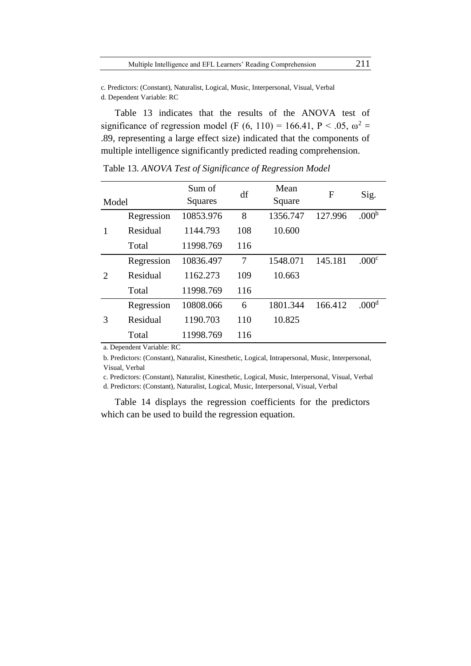c. Predictors: (Constant), Naturalist, Logical, Music, Interpersonal, Visual, Verbal d. Dependent Variable: RC

Table 13 indicates that the results of the ANOVA test of significance of regression model (F (6, 110) = 166.41, P < .05,  $\omega^2$  = .89, representing a large effect size) indicated that the components of multiple intelligence significantly predicted reading comprehension.

| Model                       |            | Sum of<br>Squares | df  | Mean<br>Square | F       | Sig.              |
|-----------------------------|------------|-------------------|-----|----------------|---------|-------------------|
|                             | Regression | 10853.976         | 8   | 1356.747       | 127.996 | .000 <sup>b</sup> |
|                             | Residual   | 1144.793          | 108 | 10.600         |         |                   |
|                             | Total      | 11998.769         | 116 |                |         |                   |
| $\mathcal{D}_{\mathcal{A}}$ | Regression | 10836.497         | 7   | 1548.071       | 145.181 | .000 <sup>c</sup> |
|                             | Residual   | 1162.273          | 109 | 10.663         |         |                   |
|                             | Total      | 11998.769         | 116 |                |         |                   |
| 3                           | Regression | 10808.066         | 6   | 1801.344       | 166.412 | .000 <sup>d</sup> |
|                             | Residual   | 1190.703          | 110 | 10.825         |         |                   |
|                             | Total      | 11998.769         | 116 |                |         |                   |

Table 13. *ANOVA Test of Significance of Regression Model*

a. Dependent Variable: RC

b. Predictors: (Constant), Naturalist, Kinesthetic, Logical, Intrapersonal, Music, Interpersonal, Visual, Verbal

c. Predictors: (Constant), Naturalist, Kinesthetic, Logical, Music, Interpersonal, Visual, Verbal

d. Predictors: (Constant), Naturalist, Logical, Music, Interpersonal, Visual, Verbal

Table 14 displays the regression coefficients for the predictors which can be used to build the regression equation.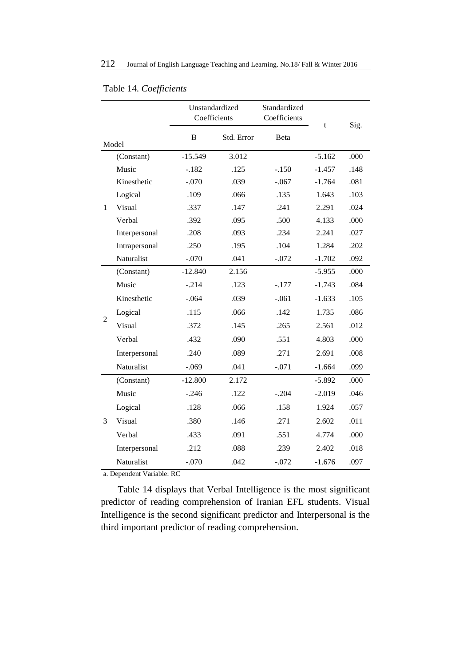|                |               | Unstandardized |            | Standardized |          |      |
|----------------|---------------|----------------|------------|--------------|----------|------|
|                |               | Coefficients   |            | Coefficients | t        | Sig. |
|                |               | B              | Std. Error | Beta         |          |      |
| Model          |               |                |            |              |          |      |
| 1              | (Constant)    | $-15.549$      | 3.012      |              | $-5.162$ | .000 |
|                | Music         | $-.182$        | .125       | $-.150$      | $-1.457$ | .148 |
|                | Kinesthetic   | $-.070$        | .039       | $-.067$      | $-1.764$ | .081 |
|                | Logical       | .109           | .066       | .135         | 1.643    | .103 |
|                | Visual        | .337           | .147       | .241         | 2.291    | .024 |
|                | Verbal        | .392           | .095       | .500         | 4.133    | .000 |
|                | Interpersonal | .208           | .093       | .234         | 2.241    | .027 |
|                | Intrapersonal | .250           | .195       | .104         | 1.284    | .202 |
|                | Naturalist    | $-.070$        | .041       | $-.072$      | $-1.702$ | .092 |
| $\overline{c}$ | (Constant)    | $-12.840$      | 2.156      |              | $-5.955$ | .000 |
|                | Music         | $-.214$        | .123       | $-.177$      | $-1.743$ | .084 |
|                | Kinesthetic   | $-.064$        | .039       | $-.061$      | $-1.633$ | .105 |
|                | Logical       | .115           | .066       | .142         | 1.735    | .086 |
|                | Visual        | .372           | .145       | .265         | 2.561    | .012 |
|                | Verbal        | .432           | .090       | .551         | 4.803    | .000 |
|                | Interpersonal | .240           | .089       | .271         | 2.691    | .008 |
|                | Naturalist    | $-.069$        | .041       | $-.071$      | $-1.664$ | .099 |
| 3              | (Constant)    | $-12.800$      | 2.172      |              | $-5.892$ | .000 |
|                | Music         | $-.246$        | .122       | $-.204$      | $-2.019$ | .046 |
|                | Logical       | .128           | .066       | .158         | 1.924    | .057 |
|                | Visual        | .380           | .146       | .271         | 2.602    | .011 |
|                | Verbal        | .433           | .091       | .551         | 4.774    | .000 |
|                | Interpersonal | .212           | .088       | .239         | 2.402    | .018 |
|                | Naturalist    | $-.070$        | .042       | $-.072$      | $-1.676$ | .097 |

## Table 14. *Coefficients*

a. Dependent Variable: RC

Table 14 displays that Verbal Intelligence is the most significant predictor of reading comprehension of Iranian EFL students. Visual Intelligence is the second significant predictor and Interpersonal is the third important predictor of reading comprehension.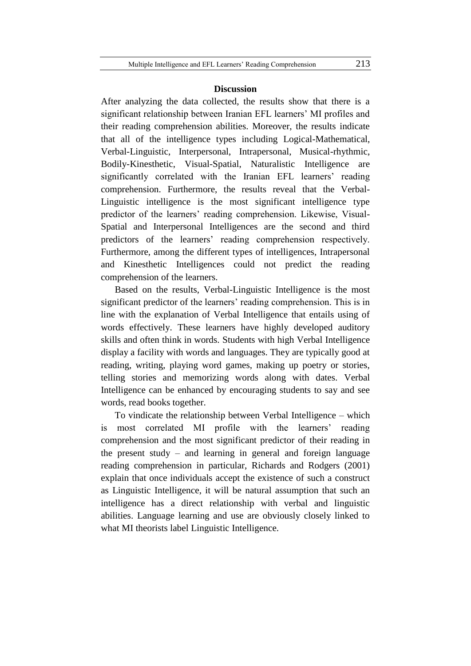#### **Discussion**

After analyzing the data collected, the results show that there is a significant relationship between Iranian EFL learners' MI profiles and their reading comprehension abilities. Moreover, the results indicate that all of the intelligence types including Logical-Mathematical, Verbal-Linguistic, Interpersonal, Intrapersonal, Musical-rhythmic, Bodily-Kinesthetic, Visual-Spatial, Naturalistic Intelligence are significantly correlated with the Iranian EFL learners' reading comprehension. Furthermore, the results reveal that the Verbal-Linguistic intelligence is the most significant intelligence type predictor of the learners' reading comprehension. Likewise, Visual-Spatial and Interpersonal Intelligences are the second and third predictors of the learners' reading comprehension respectively. Furthermore, among the different types of intelligences, Intrapersonal and Kinesthetic Intelligences could not predict the reading comprehension of the learners.

Based on the results, Verbal-Linguistic Intelligence is the most significant predictor of the learners' reading comprehension. This is in line with the explanation of Verbal Intelligence that entails using of words effectively. These learners have highly developed auditory skills and often think in words. Students with high Verbal Intelligence display a facility with words and languages. They are typically good at reading, writing, playing word games, making up poetry or stories, telling stories and memorizing words along with dates. Verbal Intelligence can be enhanced by encouraging students to say and see words, read books together.

To vindicate the relationship between Verbal Intelligence – which is most correlated MI profile with the learners' reading comprehension and the most significant predictor of their reading in the present study – and learning in general and foreign language reading comprehension in particular, Richards and Rodgers (2001) explain that once individuals accept the existence of such a construct as Linguistic Intelligence, it will be natural assumption that such an intelligence has a direct relationship with verbal and linguistic abilities. Language learning and use are obviously closely linked to what MI theorists label Linguistic Intelligence.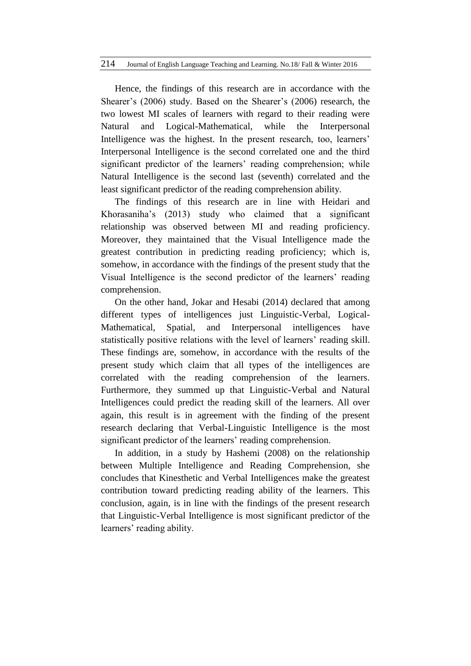Hence, the findings of this research are in accordance with the Shearer's (2006) study. Based on the Shearer's (2006) research, the two lowest MI scales of learners with regard to their reading were Natural and Logical-Mathematical, while the Interpersonal Intelligence was the highest. In the present research, too, learners' Interpersonal Intelligence is the second correlated one and the third significant predictor of the learners' reading comprehension; while Natural Intelligence is the second last (seventh) correlated and the least significant predictor of the reading comprehension ability.

The findings of this research are in line with Heidari and Khorasaniha's (2013) study who claimed that a significant relationship was observed between MI and reading proficiency. Moreover, they maintained that the Visual Intelligence made the greatest contribution in predicting reading proficiency; which is, somehow, in accordance with the findings of the present study that the Visual Intelligence is the second predictor of the learners' reading comprehension.

On the other hand, Jokar and Hesabi (2014) declared that among different types of intelligences just Linguistic-Verbal, Logical-Mathematical, Spatial, and Interpersonal intelligences have statistically positive relations with the level of learners' reading skill. These findings are, somehow, in accordance with the results of the present study which claim that all types of the intelligences are correlated with the reading comprehension of the learners. Furthermore, they summed up that Linguistic-Verbal and Natural Intelligences could predict the reading skill of the learners. All over again, this result is in agreement with the finding of the present research declaring that Verbal-Linguistic Intelligence is the most significant predictor of the learners' reading comprehension.

In addition, in a study by Hashemi (2008) on the relationship between Multiple Intelligence and Reading Comprehension, she concludes that Kinesthetic and Verbal Intelligences make the greatest contribution toward predicting reading ability of the learners. This conclusion, again, is in line with the findings of the present research that Linguistic-Verbal Intelligence is most significant predictor of the learners' reading ability.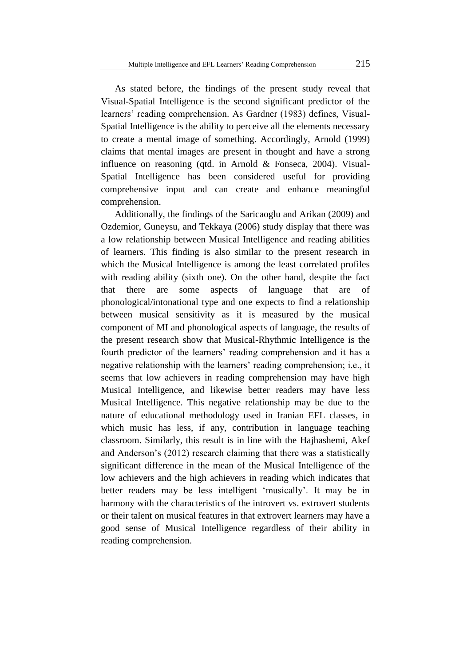As stated before, the findings of the present study reveal that Visual-Spatial Intelligence is the second significant predictor of the learners' reading comprehension. As Gardner (1983) defines, Visual-Spatial Intelligence is the ability to perceive all the elements necessary to create a mental image of something. Accordingly, Arnold (1999) claims that mental images are present in thought and have a strong influence on reasoning (qtd. in Arnold & Fonseca, 2004). Visual-Spatial Intelligence has been considered useful for providing comprehensive input and can create and enhance meaningful comprehension.

Additionally, the findings of the Saricaoglu and Arikan (2009) and Ozdemior, Guneysu, and Tekkaya (2006) study display that there was a low relationship between Musical Intelligence and reading abilities of learners. This finding is also similar to the present research in which the Musical Intelligence is among the least correlated profiles with reading ability (sixth one). On the other hand, despite the fact that there are some aspects of language that are of phonological/intonational type and one expects to find a relationship between musical sensitivity as it is measured by the musical component of MI and phonological aspects of language, the results of the present research show that Musical-Rhythmic Intelligence is the fourth predictor of the learners' reading comprehension and it has a negative relationship with the learners' reading comprehension; i.e., it seems that low achievers in reading comprehension may have high Musical Intelligence, and likewise better readers may have less Musical Intelligence. This negative relationship may be due to the nature of educational methodology used in Iranian EFL classes, in which music has less, if any, contribution in language teaching classroom. Similarly, this result is in line with the Hajhashemi, Akef and Anderson's (2012) research claiming that there was a statistically significant difference in the mean of the Musical Intelligence of the low achievers and the high achievers in reading which indicates that better readers may be less intelligent 'musically'. It may be in harmony with the characteristics of the introvert vs. extrovert students or their talent on musical features in that extrovert learners may have a good sense of Musical Intelligence regardless of their ability in reading comprehension.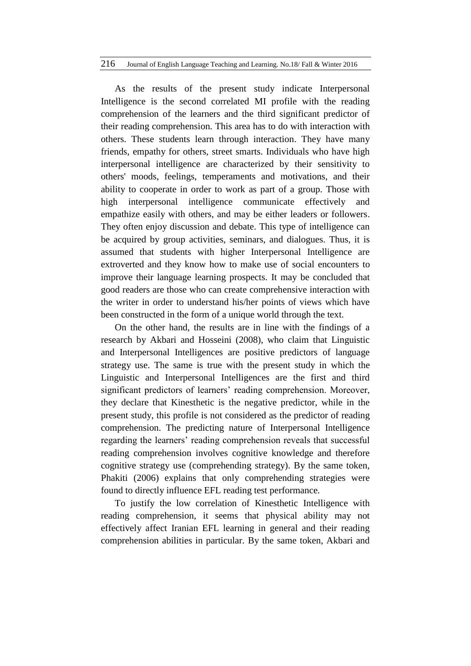As the results of the present study indicate Interpersonal Intelligence is the second correlated MI profile with the reading comprehension of the learners and the third significant predictor of their reading comprehension. This area has to do with interaction with others. These students learn through interaction. They have many friends, empathy for others, street smarts. Individuals who have high interpersonal intelligence are characterized by their sensitivity to others' moods, feelings, temperaments and motivations, and their ability to cooperate in order to work as part of a group. Those with high interpersonal intelligence communicate effectively and empathize easily with others, and may be either leaders or followers. They often enjoy discussion and debate. This type of intelligence can be acquired by group activities, seminars, and dialogues. Thus, it is assumed that students with higher Interpersonal Intelligence are extroverted and they know how to make use of social encounters to improve their language learning prospects. It may be concluded that good readers are those who can create comprehensive interaction with the writer in order to understand his/her points of views which have been constructed in the form of a unique world through the text.

On the other hand, the results are in line with the findings of a research by Akbari and Hosseini (2008), who claim that Linguistic and Interpersonal Intelligences are positive predictors of language strategy use. The same is true with the present study in which the Linguistic and Interpersonal Intelligences are the first and third significant predictors of learners' reading comprehension. Moreover, they declare that Kinesthetic is the negative predictor, while in the present study, this profile is not considered as the predictor of reading comprehension. The predicting nature of Interpersonal Intelligence regarding the learners' reading comprehension reveals that successful reading comprehension involves cognitive knowledge and therefore cognitive strategy use (comprehending strategy). By the same token, Phakiti (2006) explains that only comprehending strategies were found to directly influence EFL reading test performance.

To justify the low correlation of Kinesthetic Intelligence with reading comprehension, it seems that physical ability may not effectively affect Iranian EFL learning in general and their reading comprehension abilities in particular. By the same token, Akbari and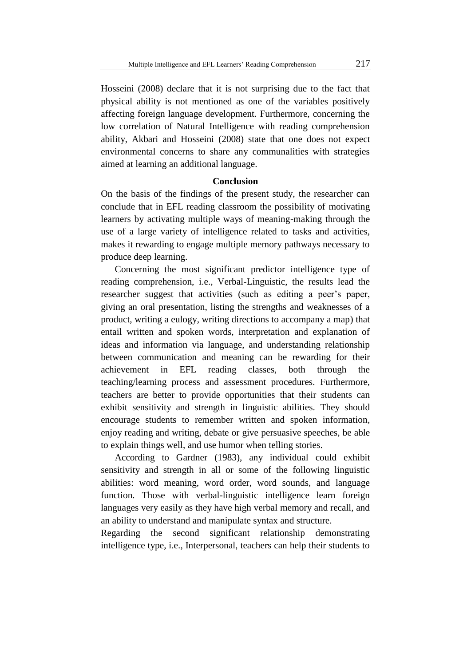Hosseini (2008) declare that it is not surprising due to the fact that physical ability is not mentioned as one of the variables positively affecting foreign language development. Furthermore, concerning the low correlation of Natural Intelligence with reading comprehension ability, Akbari and Hosseini (2008) state that one does not expect environmental concerns to share any communalities with strategies aimed at learning an additional language.

## **Conclusion**

On the basis of the findings of the present study, the researcher can conclude that in EFL reading classroom the possibility of motivating learners by activating multiple ways of meaning-making through the use of a large variety of intelligence related to tasks and activities, makes it rewarding to engage multiple memory pathways necessary to produce deep learning.

Concerning the most significant predictor intelligence type of reading comprehension, i.e., Verbal-Linguistic, the results lead the researcher suggest that activities (such as editing a peer's paper, giving an oral presentation, listing the strengths and weaknesses of a product, writing a eulogy, writing directions to accompany a map) that entail written and spoken words, interpretation and explanation of ideas and information via language, and understanding relationship between communication and meaning can be rewarding for their achievement in EFL reading classes, both through the teaching/learning process and assessment procedures. Furthermore, teachers are better to provide opportunities that their students can exhibit sensitivity and strength in linguistic abilities. They should encourage students to remember written and spoken information, enjoy reading and writing, debate or give persuasive speeches, be able to explain things well, and use humor when telling stories.

According to Gardner (1983), any individual could exhibit sensitivity and strength in all or some of the following linguistic abilities: word meaning, word order, word sounds, and language function. Those with verbal-linguistic intelligence learn foreign languages very easily as they have high verbal memory and recall, and an ability to understand and manipulate syntax and structure.

Regarding the second significant relationship demonstrating intelligence type, i.e., Interpersonal, teachers can help their students to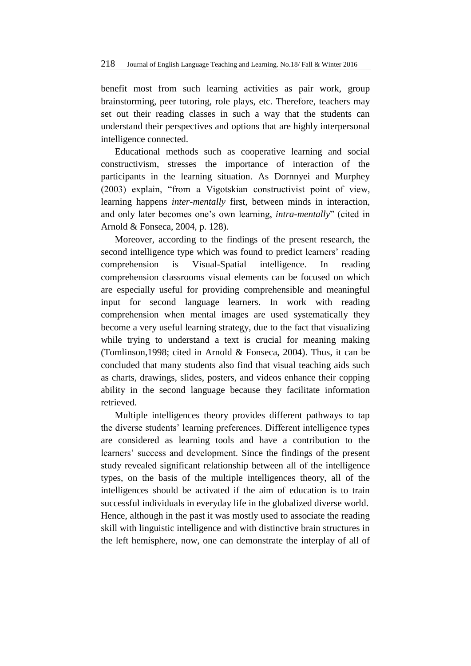benefit most from such learning activities as pair work, group brainstorming, peer tutoring, role plays, etc. Therefore, teachers may set out their reading classes in such a way that the students can understand their perspectives and options that are highly interpersonal intelligence connected.

Educational methods such as cooperative learning and social constructivism, stresses the importance of interaction of the participants in the learning situation. As Dornnyei and Murphey (2003) explain, "from a Vigotskian constructivist point of view, learning happens *inter-mentally* first, between minds in interaction, and only later becomes one's own learning, *intra-mentally*" (cited in Arnold & Fonseca, 2004, p. 128).

Moreover, according to the findings of the present research, the second intelligence type which was found to predict learners' reading comprehension is Visual-Spatial intelligence. In reading comprehension classrooms visual elements can be focused on which are especially useful for providing comprehensible and meaningful input for second language learners. In work with reading comprehension when mental images are used systematically they become a very useful learning strategy, due to the fact that visualizing while trying to understand a text is crucial for meaning making (Tomlinson,1998; cited in Arnold & Fonseca, 2004). Thus, it can be concluded that many students also find that visual teaching aids such as charts, drawings, slides, posters, and videos enhance their copping ability in the second language because they facilitate information retrieved.

Multiple intelligences theory provides different pathways to tap the diverse students' learning preferences. Different intelligence types are considered as learning tools and have a contribution to the learners' success and development. Since the findings of the present study revealed significant relationship between all of the intelligence types, on the basis of the multiple intelligences theory, all of the intelligences should be activated if the aim of education is to train successful individuals in everyday life in the globalized diverse world. Hence, although in the past it was mostly used to associate the reading skill with linguistic intelligence and with distinctive brain structures in the left hemisphere, now, one can demonstrate the interplay of all of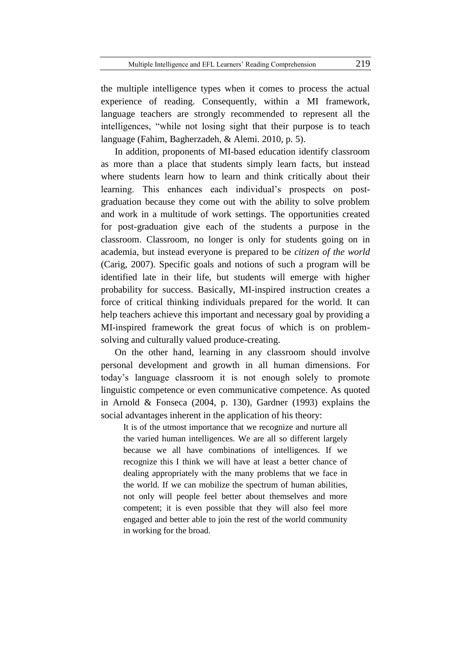the multiple intelligence types when it comes to process the actual experience of reading. Consequently, within a MI framework, language teachers are strongly recommended to represent all the intelligences, "while not losing sight that their purpose is to teach language (Fahim, Bagherzadeh, & Alemi. 2010, p. 5).

In addition, proponents of MI-based education identify classroom as more than a place that students simply learn facts, but instead where students learn how to learn and think critically about their learning. This enhances each individual's prospects on postgraduation because they come out with the ability to solve problem and work in a multitude of work settings. The opportunities created for post-graduation give each of the students a purpose in the classroom. Classroom, no longer is only for students going on in academia, but instead everyone is prepared to be *citizen of the world* (Carig, 2007). Specific goals and notions of such a program will be identified late in their life, but students will emerge with higher probability for success. Basically, MI-inspired instruction creates a force of critical thinking individuals prepared for the world. It can help teachers achieve this important and necessary goal by providing a MI-inspired framework the great focus of which is on problemsolving and culturally valued produce-creating.

On the other hand, learning in any classroom should involve personal development and growth in all human dimensions. For today's language classroom it is not enough solely to promote linguistic competence or even communicative competence. As quoted in Arnold & Fonseca (2004, p. 130), Gardner (1993) explains the social advantages inherent in the application of his theory:

It is of the utmost importance that we recognize and nurture all the varied human intelligences. We are all so different largely because we all have combinations of intelligences. If we recognize this I think we will have at least a better chance of dealing appropriately with the many problems that we face in the world. If we can mobilize the spectrum of human abilities, not only will people feel better about themselves and more competent; it is even possible that they will also feel more engaged and better able to join the rest of the world community in working for the broad.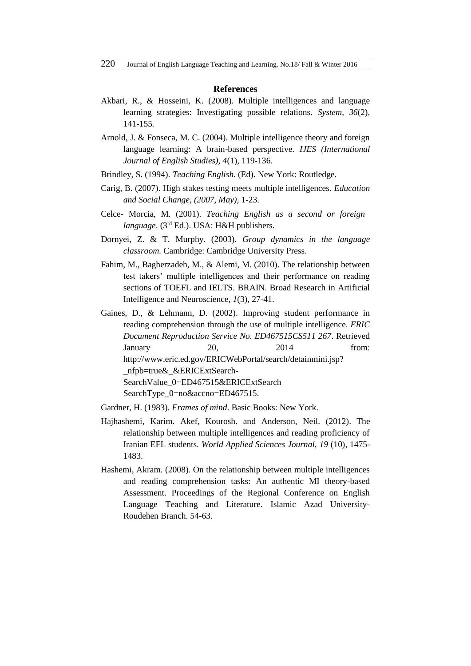#### **References**

- Akbari, R., & Hosseini, K. (2008). Multiple intelligences and language learning strategies: Investigating possible relations. *System, 36*(2)*,*  141-155*.*
- Arnold, J. & Fonseca, M. C. (2004). Multiple intelligence theory and foreign language learning: A brain-based perspective. *IJES (International Journal of English Studies), 4*(1)*,* 119-136.
- Brindley, S. (1994). *Teaching English.* (Ed). New York: Routledge.
- Carig, B. (2007). High stakes testing meets multiple intelligences. *Education and Social Change, (2007, May),* 1-23*.*
- Celce- Morcia, M. (2001). *Teaching English as a second or foreign language*. (3<sup>rd</sup> Ed.). USA: H&H publishers.
- Dornyei, Z. & T. Murphy. (2003). *Group dynamics in the language classroom.* Cambridge: Cambridge University Press.
- Fahim, M., Bagherzadeh, M., & Alemi, M. (2010). The relationship between test takers' multiple intelligences and their performance on reading sections of TOEFL and IELTS. BRAIN. Broad Research in Artificial Intelligence and Neuroscience*, 1*(3), 27-41.
- Gaines, D., & Lehmann, D. (2002). Improving student performance in reading comprehension through the use of multiple intelligence. *ERIC Document Reproduction Service No. ED467515CS511 267*. Retrieved January 20, 2014 from: [http://www.eric.ed.gov/ERICWebPortal/search/detainmini.jsp?](http://www.eric.ed.gov/ERICWebPortal/search/detainmini.jsp?%20_nfpb=true&_&ERICExtSearch-SearchValue_0=ED467515&ERICExtSearch%20SearchType_0=no&accno=ED467515)  [\\_nfpb=true&\\_&ERICExtSearch-](http://www.eric.ed.gov/ERICWebPortal/search/detainmini.jsp?%20_nfpb=true&_&ERICExtSearch-SearchValue_0=ED467515&ERICExtSearch%20SearchType_0=no&accno=ED467515)[SearchValue\\_0=ED467515&ERICExtSearch](http://www.eric.ed.gov/ERICWebPortal/search/detainmini.jsp?%20_nfpb=true&_&ERICExtSearch-SearchValue_0=ED467515&ERICExtSearch%20SearchType_0=no&accno=ED467515)  [SearchType\\_0=no&accno=ED467515.](http://www.eric.ed.gov/ERICWebPortal/search/detainmini.jsp?%20_nfpb=true&_&ERICExtSearch-SearchValue_0=ED467515&ERICExtSearch%20SearchType_0=no&accno=ED467515)
- Gardner, H. (1983). *Frames of mind*. Basic Books: New York.
- Hajhashemi, Karim. Akef, Kourosh. and Anderson, Neil. (2012). The relationship between multiple intelligences and reading proficiency of Iranian EFL students. *World Applied Sciences Journal, 19* (10), 1475- 1483.
- Hashemi, Akram. (2008). On the relationship between multiple intelligences and reading comprehension tasks: An authentic MI theory-based Assessment. Proceedings of the Regional Conference on English Language Teaching and Literature. Islamic Azad University-Roudehen Branch. 54-63.